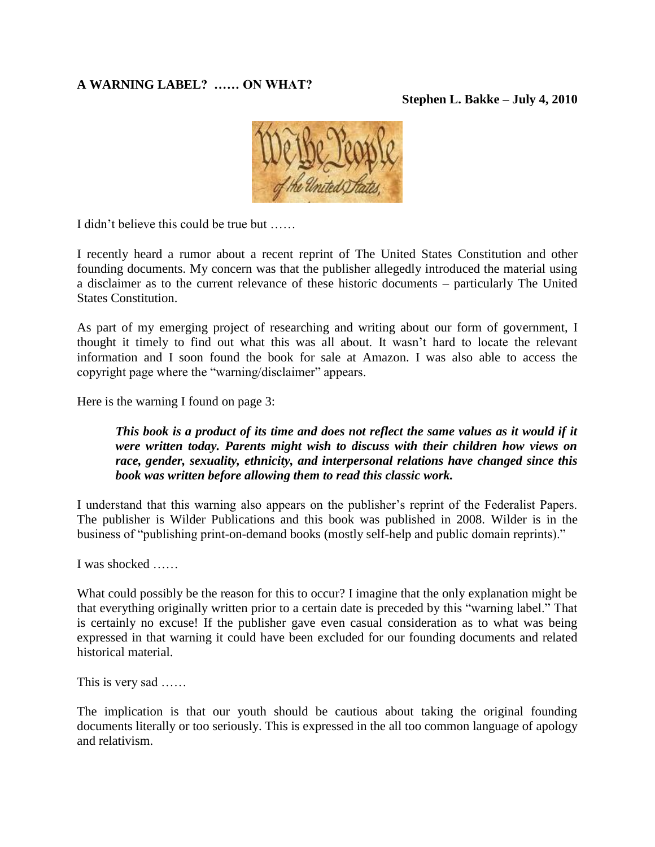## **A WARNING LABEL? …… ON WHAT?**

## **Stephen L. Bakke – July 4, 2010**



I didn't believe this could be true but ……

I recently heard a rumor about a recent reprint of The United States Constitution and other founding documents. My concern was that the publisher allegedly introduced the material using a disclaimer as to the current relevance of these historic documents – particularly The United States Constitution.

As part of my emerging project of researching and writing about our form of government, I thought it timely to find out what this was all about. It wasn't hard to locate the relevant information and I soon found the book for sale at Amazon. I was also able to access the copyright page where the "warning/disclaimer" appears.

Here is the warning I found on page 3:

*This book is a product of its time and does not reflect the same values as it would if it were written today. Parents might wish to discuss with their children how views on race, gender, sexuality, ethnicity, and interpersonal relations have changed since this book was written before allowing them to read this classic work.*

I understand that this warning also appears on the publisher's reprint of the Federalist Papers. The publisher is Wilder Publications and this book was published in 2008. Wilder is in the business of "publishing print-on-demand books (mostly self-help and public domain reprints)."

I was shocked ……

What could possibly be the reason for this to occur? I imagine that the only explanation might be that everything originally written prior to a certain date is preceded by this "warning label." That is certainly no excuse! If the publisher gave even casual consideration as to what was being expressed in that warning it could have been excluded for our founding documents and related historical material.

This is very sad ……

The implication is that our youth should be cautious about taking the original founding documents literally or too seriously. This is expressed in the all too common language of apology and relativism.